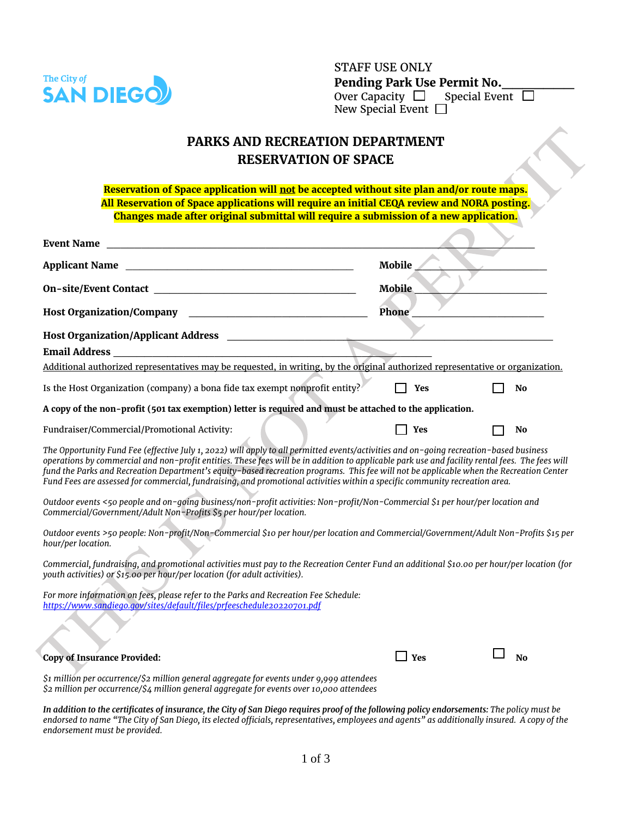

d

STAFF USE ONLY **Pending Park Use Permit No.\_\_\_\_\_\_\_** Over Capacity  $\Box$  Special Event  $\Box$ New Special Event  $\square$ 

## **PARKS AND RECREATION DEPARTMENT RESERVATION OF SPACE**

Reservation of Space application will not be accepted without site plan and/or route maps. **All Reservation of Space applications will require an initial CEQA review and NORA posting. Changes made after original submittal will require a submission of a new application.**

| <b>Event Name</b><br><u> 1990 - Johann John Harry Harry Harry Harry Harry Harry Harry Harry Harry Harry Harry Harry Harry Harry Harry H</u>                                                                                                                                                                                                                                                                                                                                                                                                                         |               |                |
|---------------------------------------------------------------------------------------------------------------------------------------------------------------------------------------------------------------------------------------------------------------------------------------------------------------------------------------------------------------------------------------------------------------------------------------------------------------------------------------------------------------------------------------------------------------------|---------------|----------------|
| Applicant Name                                                                                                                                                                                                                                                                                                                                                                                                                                                                                                                                                      | Mobile        |                |
|                                                                                                                                                                                                                                                                                                                                                                                                                                                                                                                                                                     | <b>Mobile</b> |                |
| Host Organization/Company Management of the Company Management of the Company of the Company of the Company of the Company of the Company of the Company of the Company of the Company of the Company of the Company of the Co                                                                                                                                                                                                                                                                                                                                      | Phone         |                |
|                                                                                                                                                                                                                                                                                                                                                                                                                                                                                                                                                                     |               |                |
|                                                                                                                                                                                                                                                                                                                                                                                                                                                                                                                                                                     |               |                |
| Additional authorized representatives may be requested, in writing, by the original authorized representative or organization.                                                                                                                                                                                                                                                                                                                                                                                                                                      |               |                |
| Is the Host Organization (company) a bona fide tax exempt nonprofit entity?                                                                                                                                                                                                                                                                                                                                                                                                                                                                                         | Yes           | No             |
| A copy of the non-profit (501 tax exemption) letter is required and must be attached to the application.                                                                                                                                                                                                                                                                                                                                                                                                                                                            |               |                |
| Fundraiser/Commercial/Promotional Activity:                                                                                                                                                                                                                                                                                                                                                                                                                                                                                                                         | Yes           | No             |
| The Opportunity Fund Fee (effective July 1, 2022) will apply to all permitted events/activities and on-going recreation-based business<br>operations by commercial and non-profit entities. These fees will be in addition to applicable park use and facility rental fees. The fees will<br>fund the Parks and Recreation Department's equity-based recreation programs. This fee will not be applicable when the Recreation Center<br>Fund Fees are assessed for commercial, fundraising, and promotional activities within a specific community recreation area. |               |                |
| Outdoor events <50 people and on-qoing business/non-profit activities: Non-profit/Non-Commercial \$1 per hour/per location and<br>Commercial/Government/Adult Non-Profits \$5 per hour/per location.                                                                                                                                                                                                                                                                                                                                                                |               |                |
| Outdoor events >50 people: Non-profit/Non-Commercial \$10 per hour/per location and Commercial/Government/Adult Non-Profits \$15 per<br>hour/per location.                                                                                                                                                                                                                                                                                                                                                                                                          |               |                |
| Commercial, fundraising, and promotional activities must pay to the Recreation Center Fund an additional \$10.00 per hour/per location (for<br>youth activities) or \$15.00 per hour/per location (for adult activities).                                                                                                                                                                                                                                                                                                                                           |               |                |
| For more information on fees, please refer to the Parks and Recreation Fee Schedule:<br>https://www.sandiego.gov/sites/default/files/prfeeschedule20220701.pdf                                                                                                                                                                                                                                                                                                                                                                                                      |               |                |
| <b>Copy of Insurance Provided:</b>                                                                                                                                                                                                                                                                                                                                                                                                                                                                                                                                  | Yes           | N <sub>0</sub> |
| $$1$ million per occurrence/ $$2$ million general aggregate for events under 9,999 attendees<br>\$2 million per occurrence/\$4 million general aggregate for events over 10,000 attendees                                                                                                                                                                                                                                                                                                                                                                           |               |                |

*In addition to the certificates of insurance, the City of San Diego requires proof of the following policy endorsements: The policy must be endorsed to name "The City of San Diego, its elected officials, representatives, employees and agents" as additionally insured. A copy of the endorsement must be provided.*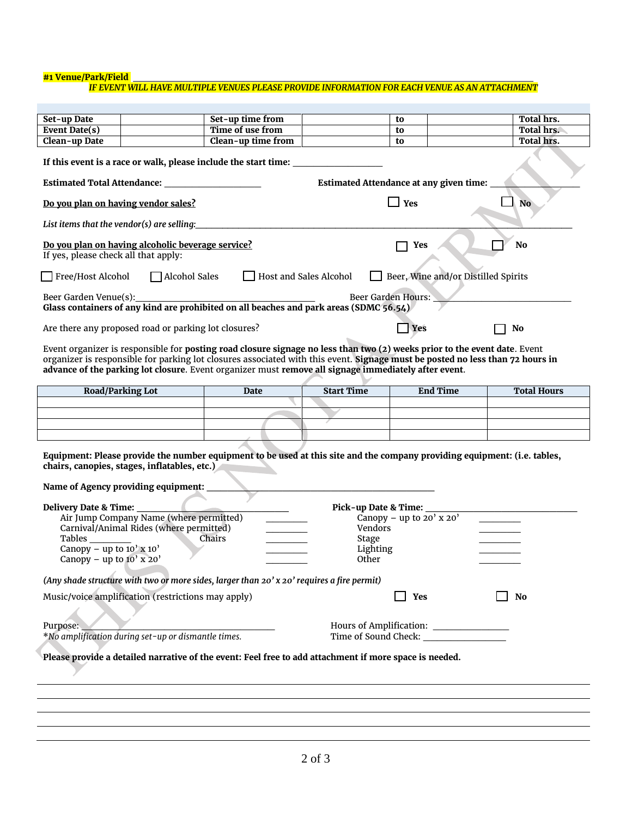## **#1 Venue/Park/Field** \_\_\_\_\_\_\_\_\_\_\_\_\_\_\_\_\_\_\_\_\_\_\_\_\_\_\_\_\_\_\_\_\_\_\_\_\_\_\_\_\_\_\_\_\_\_\_\_\_\_\_\_\_\_\_\_\_\_

## *IF EVENT WILL HAVE MULTIPLE VENUES PLEASE PROVIDE INFORMATION FOR EACH VENUE AS AN ATTACHMENT*

| Set-up Date                                                            |                                                                                                                                                                           | Set-up time from                                                                                                                    |                                                               | to                                             | Total hrs.         |
|------------------------------------------------------------------------|---------------------------------------------------------------------------------------------------------------------------------------------------------------------------|-------------------------------------------------------------------------------------------------------------------------------------|---------------------------------------------------------------|------------------------------------------------|--------------------|
| Event Date(s)                                                          |                                                                                                                                                                           | Time of use from                                                                                                                    |                                                               | to                                             | Total hrs.         |
| Clean-up Date                                                          |                                                                                                                                                                           | Clean-up time from                                                                                                                  |                                                               | to                                             | Total hrs.         |
|                                                                        |                                                                                                                                                                           | If this event is a race or walk, please include the start time:                                                                     |                                                               |                                                |                    |
|                                                                        |                                                                                                                                                                           |                                                                                                                                     |                                                               | <b>Estimated Attendance at any given time:</b> |                    |
|                                                                        | Do you plan on having vendor sales?                                                                                                                                       |                                                                                                                                     | $\Box$ Yes<br><b>No</b>                                       |                                                |                    |
|                                                                        |                                                                                                                                                                           | List items that the vendor(s) are selling:                                                                                          |                                                               |                                                |                    |
| If yes, please check all that apply:                                   | Do you plan on having alcoholic beverage service?                                                                                                                         |                                                                                                                                     |                                                               | Yes                                            | No                 |
| Free/Host Alcohol                                                      | Alcohol Sales                                                                                                                                                             | Host and Sales Alcohol                                                                                                              |                                                               | Beer, Wine and/or Distilled Spirits            |                    |
| Beer Garden Venue(s):                                                  |                                                                                                                                                                           | Glass containers of any kind are prohibited on all beaches and park areas (SDMC 56.54)                                              |                                                               | Beer Garden Hours:                             |                    |
|                                                                        |                                                                                                                                                                           |                                                                                                                                     |                                                               |                                                |                    |
|                                                                        | Are there any proposed road or parking lot closures?                                                                                                                      |                                                                                                                                     |                                                               | Yes                                            | No                 |
|                                                                        | <b>Road/Parking Lot</b>                                                                                                                                                   | advance of the parking lot closure. Event organizer must remove all signage immediately after event.<br><b>Date</b>                 | <b>Start Time</b>                                             | <b>End Time</b>                                | <b>Total Hours</b> |
|                                                                        |                                                                                                                                                                           |                                                                                                                                     |                                                               |                                                |                    |
|                                                                        |                                                                                                                                                                           |                                                                                                                                     |                                                               |                                                |                    |
|                                                                        |                                                                                                                                                                           |                                                                                                                                     |                                                               |                                                |                    |
|                                                                        |                                                                                                                                                                           |                                                                                                                                     |                                                               |                                                |                    |
| Tables<br>Canopy – up to $10'$ x $10'$<br>Canopy – up to $10'$ x $20'$ | chairs, canopies, stages, inflatables, etc.)<br>Name of Agency providing equipment:<br>Air Jump Company Name (where permitted)<br>Carnival/Animal Rides (where permitted) | Equipment: Please provide the number equipment to be used at this site and the company providing equipment: (i.e. tables,<br>Chairs | Pick-up Date & Time:<br>Vendors<br>Stage<br>Lighting<br>Other | Canopy – up to $20'$ x $20'$                   |                    |
| <b>Delivery Date &amp; Time:</b>                                       |                                                                                                                                                                           | (Any shade structure with two or more sides, larger than 20' x 20' requires a fire permit)                                          |                                                               |                                                |                    |
|                                                                        | Music/voice amplification (restrictions may apply)                                                                                                                        |                                                                                                                                     |                                                               | Yes                                            | No                 |
| Purpose:                                                               | *No amplification during set-up or dismantle times.                                                                                                                       |                                                                                                                                     |                                                               | Time of Sound Check: National Check:           |                    |